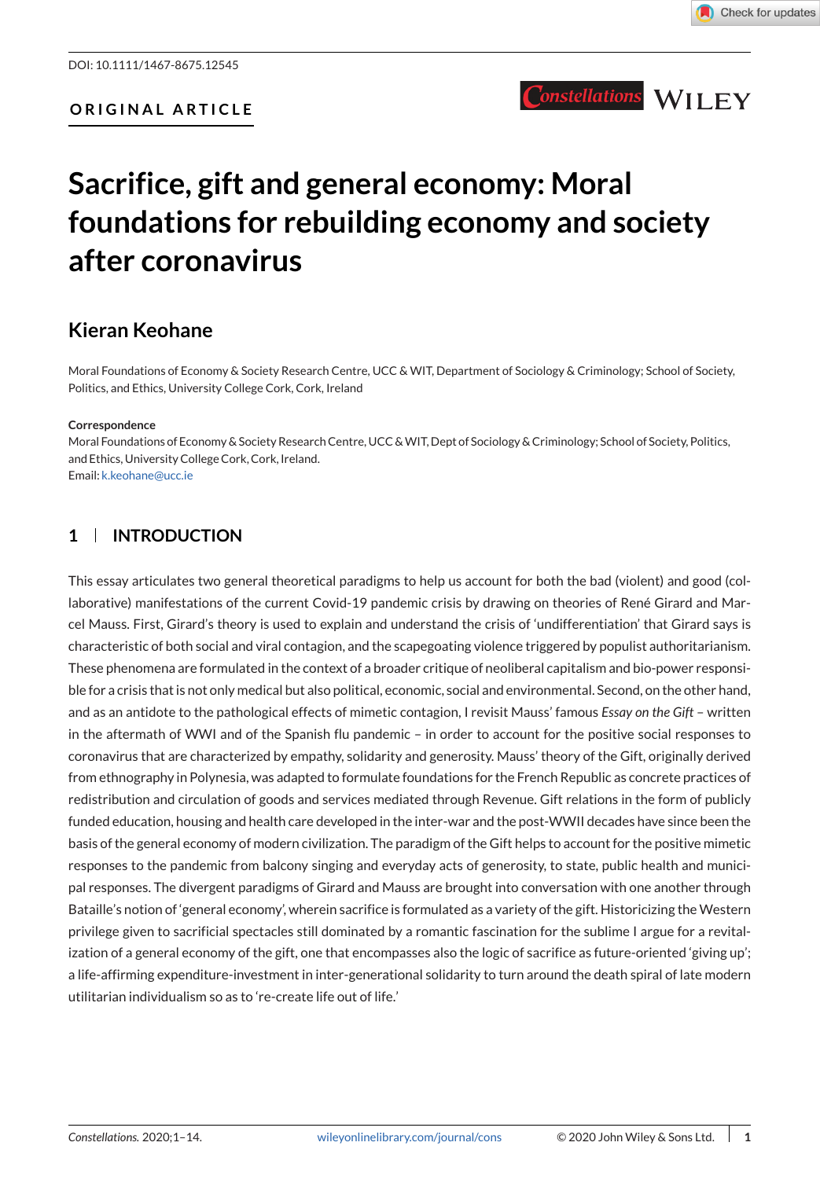# **Sacrifice, gift and general economy: Moral foundations for rebuilding economy and society after coronavirus**

# **Kieran Keohane**

Moral Foundations of Economy & Society Research Centre, UCC & WIT, Department of Sociology & Criminology; School of Society, Politics, and Ethics, University College Cork, Cork, Ireland

#### **Correspondence**

Moral Foundations of Economy & Society Research Centre, UCC &WIT, Dept of Sociology & Criminology; School of Society, Politics, and Ethics, University College Cork, Cork, Ireland. Email: [k.keohane@ucc.ie](mailto:k.keohane@ucc.ie)

## **1 INTRODUCTION**

This essay articulates two general theoretical paradigms to help us account for both the bad (violent) and good (collaborative) manifestations of the current Covid-19 pandemic crisis by drawing on theories of René Girard and Marcel Mauss. First, Girard's theory is used to explain and understand the crisis of 'undifferentiation' that Girard says is characteristic of both social and viral contagion, and the scapegoating violence triggered by populist authoritarianism. These phenomena are formulated in the context of a broader critique of neoliberal capitalism and bio-power responsible for a crisis that is not only medical but also political, economic, social and environmental. Second, on the other hand, and as an antidote to the pathological effects of mimetic contagion, I revisit Mauss' famous *Essay on the Gift* – written in the aftermath of WWI and of the Spanish flu pandemic – in order to account for the positive social responses to coronavirus that are characterized by empathy, solidarity and generosity. Mauss' theory of the Gift, originally derived from ethnography in Polynesia, was adapted to formulate foundations for the French Republic as concrete practices of redistribution and circulation of goods and services mediated through Revenue. Gift relations in the form of publicly funded education, housing and health care developed in the inter-war and the post-WWII decades have since been the basis of the general economy of modern civilization. The paradigm of the Gift helps to account for the positive mimetic responses to the pandemic from balcony singing and everyday acts of generosity, to state, public health and municipal responses. The divergent paradigms of Girard and Mauss are brought into conversation with one another through Bataille's notion of 'general economy', wherein sacrifice is formulated as a variety of the gift. Historicizing the Western privilege given to sacrificial spectacles still dominated by a romantic fascination for the sublime I argue for a revitalization of a general economy of the gift, one that encompasses also the logic of sacrifice as future-oriented 'giving up'; a life-affirming expenditure-investment in inter-generational solidarity to turn around the death spiral of late modern utilitarian individualism so as to 're-create life out of life.'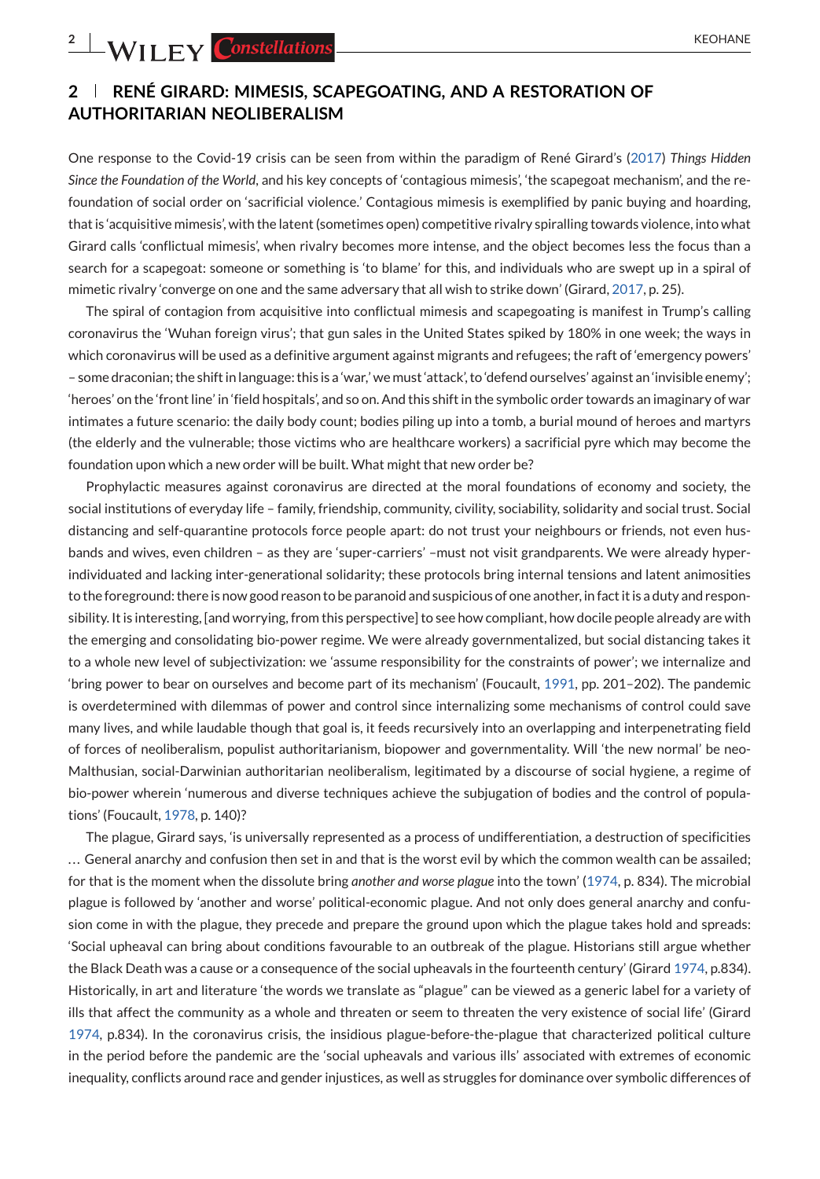# **2 RENÉ GIRARD: MIMESIS, SCAPEGOATING, AND A RESTORATION OF AUTHORITARIAN NEOLIBERALISM**

One response to the Covid-19 crisis can be seen from within the paradigm of René Girard's [\(2017\)](#page-12-0) *Things Hidden Since the Foundation of the World*, and his key concepts of 'contagious mimesis', 'the scapegoat mechanism', and the refoundation of social order on 'sacrificial violence.' Contagious mimesis is exemplified by panic buying and hoarding, that is 'acquisitive mimesis', with the latent (sometimes open) competitive rivalry spiralling towards violence, into what Girard calls 'conflictual mimesis', when rivalry becomes more intense, and the object becomes less the focus than a search for a scapegoat: someone or something is 'to blame' for this, and individuals who are swept up in a spiral of mimetic rivalry 'converge on one and the same adversary that all wish to strike down' (Girard, [2017,](#page-12-0) p. 25).

The spiral of contagion from acquisitive into conflictual mimesis and scapegoating is manifest in Trump's calling coronavirus the 'Wuhan foreign virus'; that gun sales in the United States spiked by 180% in one week; the ways in which coronavirus will be used as a definitive argument against migrants and refugees; the raft of 'emergency powers' – some draconian; the shift in language: this is a 'war,' we must 'attack', to 'defend ourselves' against an 'invisible enemy'; 'heroes' on the 'front line' in 'field hospitals', and so on. And this shift in the symbolic order towards an imaginary of war intimates a future scenario: the daily body count; bodies piling up into a tomb, a burial mound of heroes and martyrs (the elderly and the vulnerable; those victims who are healthcare workers) a sacrificial pyre which may become the foundation upon which a new order will be built. What might that new order be?

Prophylactic measures against coronavirus are directed at the moral foundations of economy and society, the social institutions of everyday life – family, friendship, community, civility, sociability, solidarity and social trust. Social distancing and self-quarantine protocols force people apart: do not trust your neighbours or friends, not even husbands and wives, even children – as they are 'super-carriers' –must not visit grandparents. We were already hyperindividuated and lacking inter-generational solidarity; these protocols bring internal tensions and latent animosities to the foreground: there is now good reason to be paranoid and suspicious of one another, in fact it is a duty and responsibility. It is interesting, [and worrying, from this perspective] to see how compliant, how docile people already are with the emerging and consolidating bio-power regime. We were already governmentalized, but social distancing takes it to a whole new level of subjectivization: we 'assume responsibility for the constraints of power'; we internalize and 'bring power to bear on ourselves and become part of its mechanism' (Foucault, [1991,](#page-12-0) pp. 201–202). The pandemic is overdetermined with dilemmas of power and control since internalizing some mechanisms of control could save many lives, and while laudable though that goal is, it feeds recursively into an overlapping and interpenetrating field of forces of neoliberalism, populist authoritarianism, biopower and governmentality. Will 'the new normal' be neo-Malthusian, social-Darwinian authoritarian neoliberalism, legitimated by a discourse of social hygiene, a regime of bio-power wherein 'numerous and diverse techniques achieve the subjugation of bodies and the control of populations' (Foucault, [1978,](#page-12-0) p. 140)?

The plague, Girard says, 'is universally represented as a process of undifferentiation, a destruction of specificities . . . General anarchy and confusion then set in and that is the worst evil by which the common wealth can be assailed; for that is the moment when the dissolute bring *another and worse plague* into the town' [\(1974,](#page-12-0) p. 834). The microbial plague is followed by 'another and worse' political-economic plague. And not only does general anarchy and confusion come in with the plague, they precede and prepare the ground upon which the plague takes hold and spreads: 'Social upheaval can bring about conditions favourable to an outbreak of the plague. Historians still argue whether the Black Death was a cause or a consequence of the social upheavals in the fourteenth century' (Girard [1974,](#page-12-0) p.834). Historically, in art and literature 'the words we translate as "plague" can be viewed as a generic label for a variety of ills that affect the community as a whole and threaten or seem to threaten the very existence of social life' (Girard [1974,](#page-12-0) p.834). In the coronavirus crisis, the insidious plague-before-the-plague that characterized political culture in the period before the pandemic are the 'social upheavals and various ills' associated with extremes of economic inequality, conflicts around race and gender injustices, as well as struggles for dominance over symbolic differences of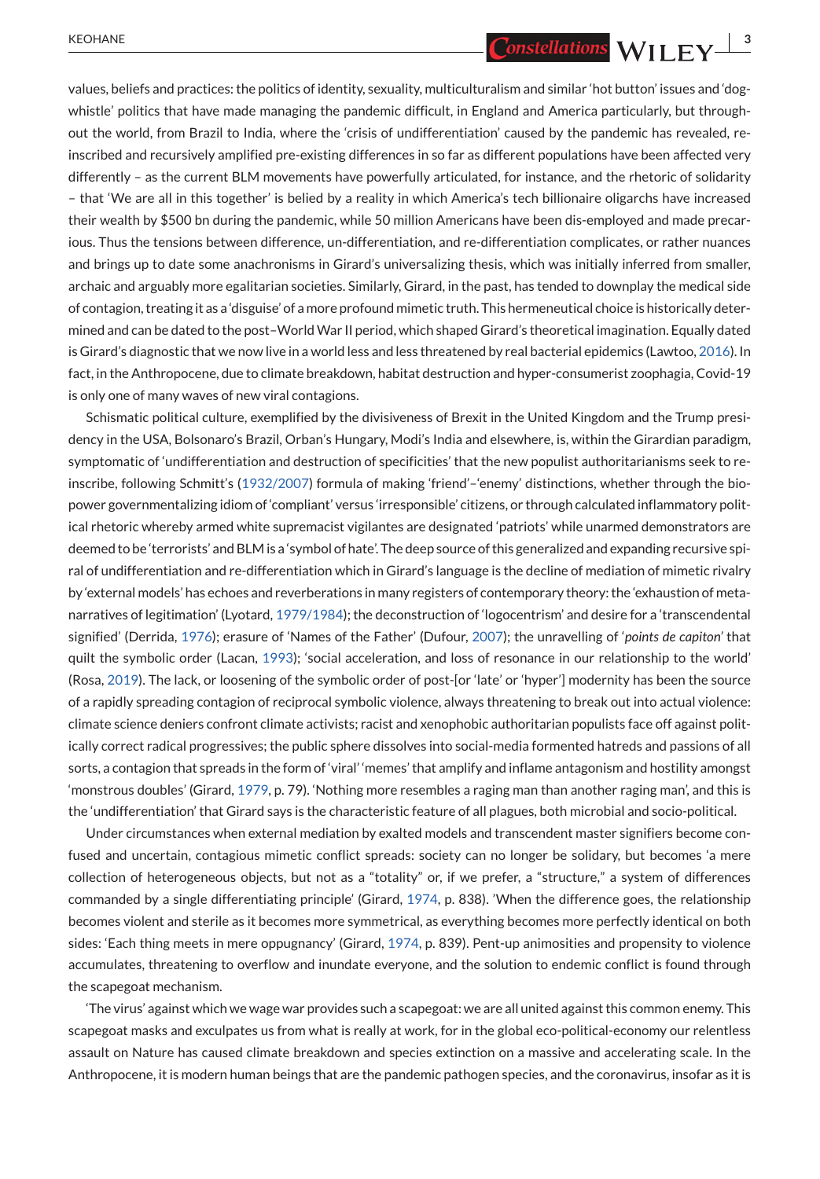values, beliefs and practices: the politics of identity, sexuality, multiculturalism and similar 'hot button' issues and 'dogwhistle' politics that have made managing the pandemic difficult, in England and America particularly, but throughout the world, from Brazil to India, where the 'crisis of undifferentiation' caused by the pandemic has revealed, reinscribed and recursively amplified pre-existing differences in so far as different populations have been affected very differently – as the current BLM movements have powerfully articulated, for instance, and the rhetoric of solidarity – that 'We are all in this together' is belied by a reality in which America's tech billionaire oligarchs have increased their wealth by \$500 bn during the pandemic, while 50 million Americans have been dis-employed and made precarious. Thus the tensions between difference, un-differentiation, and re-differentiation complicates, or rather nuances and brings up to date some anachronisms in Girard's universalizing thesis, which was initially inferred from smaller, archaic and arguably more egalitarian societies. Similarly, Girard, in the past, has tended to downplay the medical side of contagion, treating it as a 'disguise' of a more profound mimetic truth. This hermeneutical choice is historically determined and can be dated to the post–WorldWar II period, which shaped Girard's theoretical imagination. Equally dated is Girard's diagnostic that we now live in a world less and less threatened by real bacterial epidemics (Lawtoo, [2016\)](#page-13-0). In fact, in the Anthropocene, due to climate breakdown, habitat destruction and hyper-consumerist zoophagia, Covid-19 is only one of many waves of new viral contagions.

Schismatic political culture, exemplified by the divisiveness of Brexit in the United Kingdom and the Trump presidency in the USA, Bolsonaro's Brazil, Orban's Hungary, Modi's India and elsewhere, is, within the Girardian paradigm, symptomatic of 'undifferentiation and destruction of specificities' that the new populist authoritarianisms seek to reinscribe, following Schmitt's [\(1932/2007\)](#page-13-0) formula of making 'friend'–'enemy' distinctions, whether through the biopower governmentalizing idiom of 'compliant' versus 'irresponsible' citizens, or through calculated inflammatory political rhetoric whereby armed white supremacist vigilantes are designated 'patriots' while unarmed demonstrators are deemed to be 'terrorists' and BLM is a 'symbol of hate'. The deep source of this generalized and expanding recursive spiral of undifferentiation and re-differentiation which in Girard's language is the decline of mediation of mimetic rivalry by 'external models' has echoes and reverberations in many registers of contemporary theory: the 'exhaustion of metanarratives of legitimation' (Lyotard, [1979/1984\)](#page-12-0); the deconstruction of 'logocentrism' and desire for a 'transcendental signified' (Derrida, [1976\)](#page-12-0); erasure of 'Names of the Father' (Dufour, [2007\)](#page-12-0); the unravelling of '*points de capiton'* that quilt the symbolic order (Lacan, [1993\)](#page-13-0); 'social acceleration, and loss of resonance in our relationship to the world' (Rosa, [2019\)](#page-13-0). The lack, or loosening of the symbolic order of post-[or 'late' or 'hyper'] modernity has been the source of a rapidly spreading contagion of reciprocal symbolic violence, always threatening to break out into actual violence: climate science deniers confront climate activists; racist and xenophobic authoritarian populists face off against politically correct radical progressives; the public sphere dissolves into social-media formented hatreds and passions of all sorts, a contagion that spreads in the form of 'viral' 'memes' that amplify and inflame antagonism and hostility amongst 'monstrous doubles' (Girard, [1979,](#page-12-0) p. 79). 'Nothing more resembles a raging man than another raging man', and this is the 'undifferentiation' that Girard says is the characteristic feature of all plagues, both microbial and socio-political.

Under circumstances when external mediation by exalted models and transcendent master signifiers become confused and uncertain, contagious mimetic conflict spreads: society can no longer be solidary, but becomes 'a mere collection of heterogeneous objects, but not as a "totality" or, if we prefer, a "structure," a system of differences commanded by a single differentiating principle' (Girard, [1974,](#page-12-0) p. 838). 'When the difference goes, the relationship becomes violent and sterile as it becomes more symmetrical, as everything becomes more perfectly identical on both sides: 'Each thing meets in mere oppugnancy' (Girard, [1974,](#page-12-0) p. 839). Pent-up animosities and propensity to violence accumulates, threatening to overflow and inundate everyone, and the solution to endemic conflict is found through the scapegoat mechanism.

'The virus' against which we wage war provides such a scapegoat: we are all united against this common enemy. This scapegoat masks and exculpates us from what is really at work, for in the global eco-political-economy our relentless assault on Nature has caused climate breakdown and species extinction on a massive and accelerating scale. In the Anthropocene, it is modern human beings that are the pandemic pathogen species, and the coronavirus, insofar as it is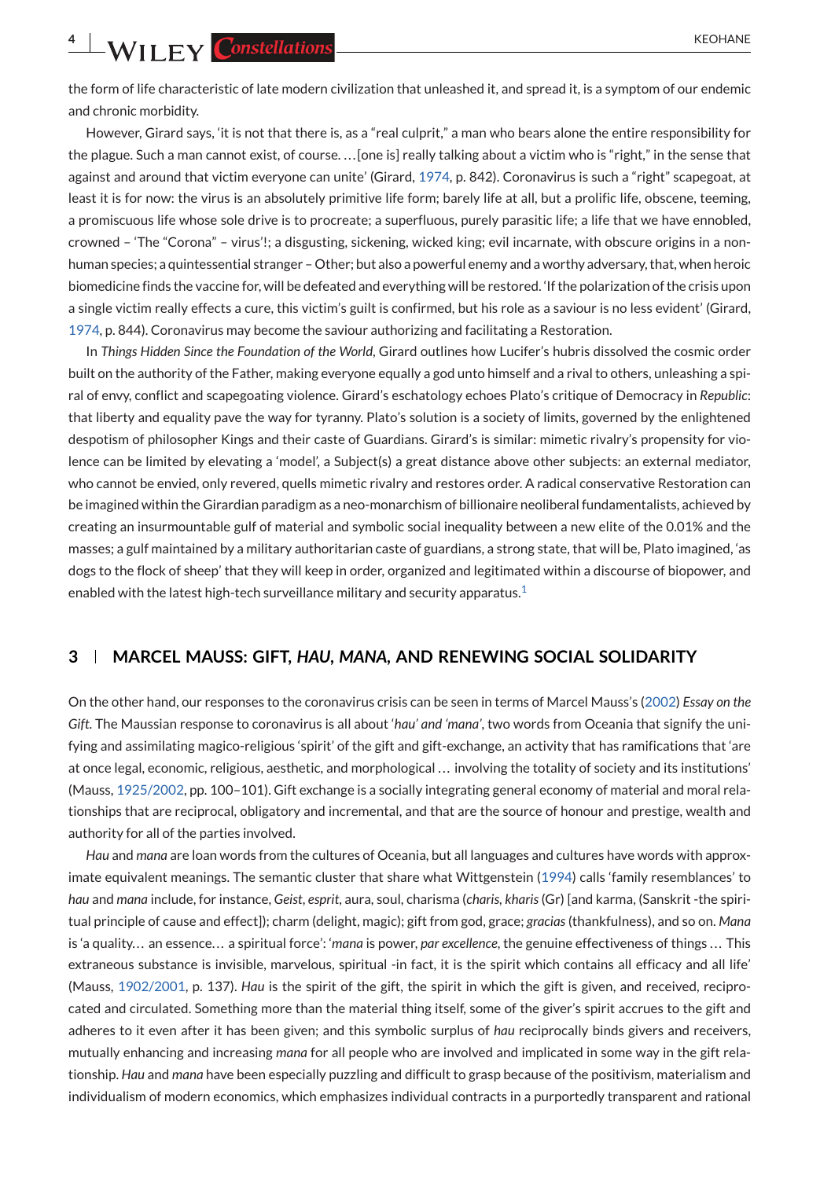**4** WII FY Constellations

the form of life characteristic of late modern civilization that unleashed it, and spread it, is a symptom of our endemic and chronic morbidity.

However, Girard says, 'it is not that there is, as a "real culprit," a man who bears alone the entire responsibility for the plague. Such a man cannot exist, of course. . . . [one is] really talking about a victim who is "right," in the sense that against and around that victim everyone can unite' (Girard, [1974,](#page-12-0) p. 842). Coronavirus is such a "right" scapegoat, at least it is for now: the virus is an absolutely primitive life form; barely life at all, but a prolific life, obscene, teeming, a promiscuous life whose sole drive is to procreate; a superfluous, purely parasitic life; a life that we have ennobled, crowned – 'The "Corona" – virus'!; a disgusting, sickening, wicked king; evil incarnate, with obscure origins in a nonhuman species; a quintessential stranger – Other; but also a powerful enemy and a worthy adversary, that, when heroic biomedicine finds the vaccine for, will be defeated and everything will be restored. 'If the polarization of the crisis upon a single victim really effects a cure, this victim's guilt is confirmed, but his role as a saviour is no less evident' (Girard, [1974,](#page-12-0) p. 844). Coronavirus may become the saviour authorizing and facilitating a Restoration.

In *Things Hidden Since the Foundation of the World*, Girard outlines how Lucifer's hubris dissolved the cosmic order built on the authority of the Father, making everyone equally a god unto himself and a rival to others, unleashing a spiral of envy, conflict and scapegoating violence. Girard's eschatology echoes Plato's critique of Democracy in *Republic*: that liberty and equality pave the way for tyranny. Plato's solution is a society of limits, governed by the enlightened despotism of philosopher Kings and their caste of Guardians. Girard's is similar: mimetic rivalry's propensity for violence can be limited by elevating a 'model', a Subject(s) a great distance above other subjects: an external mediator, who cannot be envied, only revered, quells mimetic rivalry and restores order. A radical conservative Restoration can be imagined within the Girardian paradigm as a neo-monarchism of billionaire neoliberal fundamentalists, achieved by creating an insurmountable gulf of material and symbolic social inequality between a new elite of the 0.01% and the masses; a gulf maintained by a military authoritarian caste of guardians, a strong state, that will be, Plato imagined, 'as dogs to the flock of sheep' that they will keep in order, organized and legitimated within a discourse of biopower, and enabled with the latest high-tech surveillance military and security apparatus[.](#page-11-0)<sup>1</sup>

## **3 MARCEL MAUSS: GIFT,** *HAU***,** *MANA***, AND RENEWING SOCIAL SOLIDARITY**

On the other hand, our responses to the coronavirus crisis can be seen in terms of Marcel Mauss's [\(2002\)](#page-13-0) *Essay on the Gift*. The Maussian response to coronavirus is all about '*hau' and 'mana'*, two words from Oceania that signify the unifying and assimilating magico-religious 'spirit' of the gift and gift-exchange, an activity that has ramifications that 'are at once legal, economic, religious, aesthetic, and morphological . . . involving the totality of society and its institutions' (Mauss, [1925/2002,](#page-13-0) pp. 100–101). Gift exchange is a socially integrating general economy of material and moral relationships that are reciprocal, obligatory and incremental, and that are the source of honour and prestige, wealth and authority for all of the parties involved.

*Hau* and *mana* are loan words from the cultures of Oceania, but all languages and cultures have words with approximate equivalent meanings. The semantic cluster that share what Wittgenstein [\(1994\)](#page-13-0) calls 'family resemblances' to *hau* and *mana* include, for instance, *Geist*, *esprit*, aura, soul, charisma (*charis, kharis* (Gr) [and karma, (Sanskrit -the spiritual principle of cause and effect]); charm (delight, magic); gift from god, grace; *gracias* (thankfulness), and so on. *Mana* is 'a quality... an essence... a spiritual force': '*mana* is power, *par excellence*, the genuine effectiveness of things... This extraneous substance is invisible, marvelous, spiritual -in fact, it is the spirit which contains all efficacy and all life' (Mauss, [1902/2001,](#page-13-0) p. 137). *Hau* is the spirit of the gift, the spirit in which the gift is given, and received, reciprocated and circulated. Something more than the material thing itself, some of the giver's spirit accrues to the gift and adheres to it even after it has been given; and this symbolic surplus of *hau* reciprocally binds givers and receivers, mutually enhancing and increasing *mana* for all people who are involved and implicated in some way in the gift relationship. *Hau* and *mana* have been especially puzzling and difficult to grasp because of the positivism, materialism and individualism of modern economics, which emphasizes individual contracts in a purportedly transparent and rational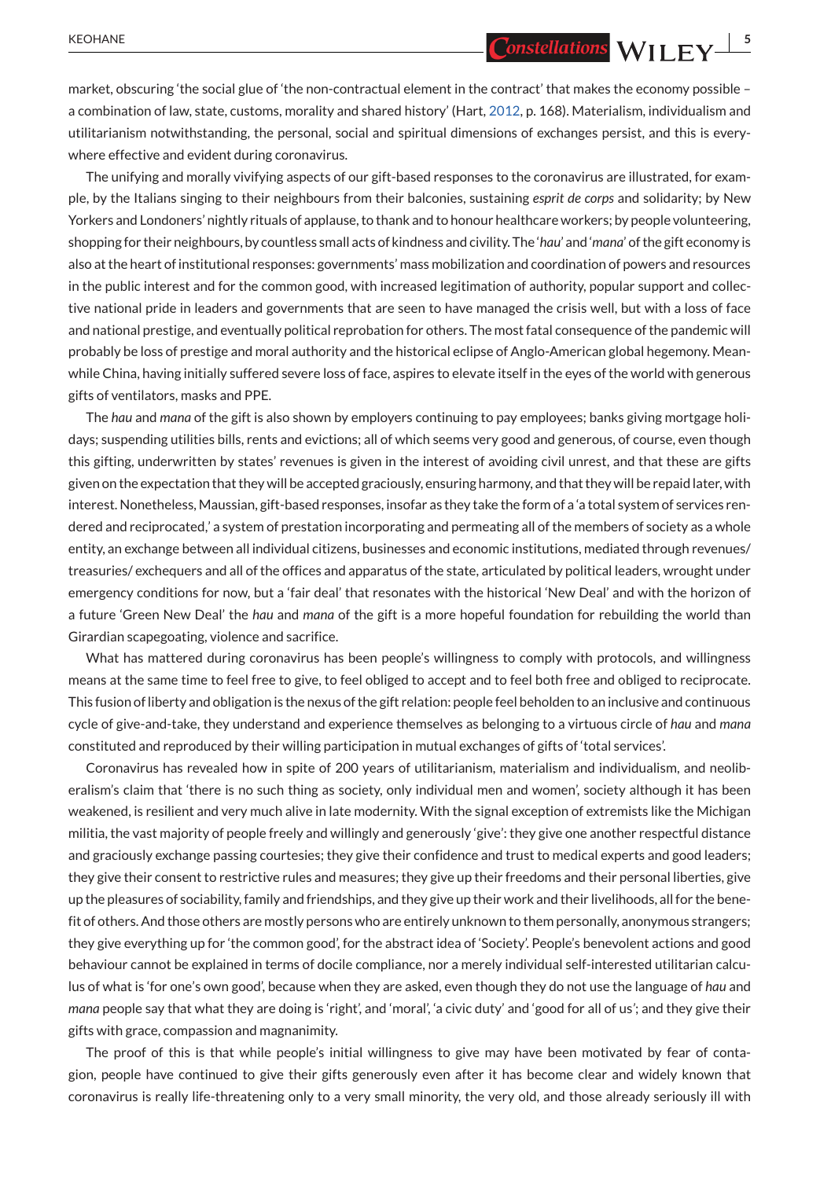market, obscuring 'the social glue of 'the non-contractual element in the contract' that makes the economy possible – a combination of law, state, customs, morality and shared history' (Hart, [2012,](#page-12-0) p. 168). Materialism, individualism and utilitarianism notwithstanding, the personal, social and spiritual dimensions of exchanges persist, and this is everywhere effective and evident during coronavirus.

The unifying and morally vivifying aspects of our gift-based responses to the coronavirus are illustrated, for example, by the Italians singing to their neighbours from their balconies, sustaining *esprit de corps* and solidarity; by New Yorkers and Londoners' nightly rituals of applause, to thank and to honour healthcare workers; by people volunteering, shopping for their neighbours, by countless small acts of kindness and civility. The '*hau*' and '*mana*' of the gift economy is also at the heart of institutional responses: governments' mass mobilization and coordination of powers and resources in the public interest and for the common good, with increased legitimation of authority, popular support and collective national pride in leaders and governments that are seen to have managed the crisis well, but with a loss of face and national prestige, and eventually political reprobation for others. The most fatal consequence of the pandemic will probably be loss of prestige and moral authority and the historical eclipse of Anglo-American global hegemony. Meanwhile China, having initially suffered severe loss of face, aspires to elevate itself in the eyes of the world with generous gifts of ventilators, masks and PPE.

The *hau* and *mana* of the gift is also shown by employers continuing to pay employees; banks giving mortgage holidays; suspending utilities bills, rents and evictions; all of which seems very good and generous, of course, even though this gifting, underwritten by states' revenues is given in the interest of avoiding civil unrest, and that these are gifts given on the expectation that they will be accepted graciously, ensuring harmony, and that they will be repaid later, with interest. Nonetheless, Maussian, gift-based responses, insofar as they take the form of a 'a total system of services rendered and reciprocated,' a system of prestation incorporating and permeating all of the members of society as a whole entity, an exchange between all individual citizens, businesses and economic institutions, mediated through revenues/ treasuries/ exchequers and all of the offices and apparatus of the state, articulated by political leaders, wrought under emergency conditions for now, but a 'fair deal' that resonates with the historical 'New Deal' and with the horizon of a future 'Green New Deal' the *hau* and *mana* of the gift is a more hopeful foundation for rebuilding the world than Girardian scapegoating, violence and sacrifice.

What has mattered during coronavirus has been people's willingness to comply with protocols, and willingness means at the same time to feel free to give, to feel obliged to accept and to feel both free and obliged to reciprocate. This fusion of liberty and obligation is the nexus of the gift relation: people feel beholden to an inclusive and continuous cycle of give-and-take, they understand and experience themselves as belonging to a virtuous circle of *hau* and *mana* constituted and reproduced by their willing participation in mutual exchanges of gifts of 'total services'.

Coronavirus has revealed how in spite of 200 years of utilitarianism, materialism and individualism, and neoliberalism's claim that 'there is no such thing as society, only individual men and women', society although it has been weakened, is resilient and very much alive in late modernity. With the signal exception of extremists like the Michigan militia, the vast majority of people freely and willingly and generously 'give': they give one another respectful distance and graciously exchange passing courtesies; they give their confidence and trust to medical experts and good leaders; they give their consent to restrictive rules and measures; they give up their freedoms and their personal liberties, give up the pleasures of sociability, family and friendships, and they give up their work and their livelihoods, all for the benefit of others. And those others are mostly persons who are entirely unknown to them personally, anonymous strangers; they give everything up for 'the common good', for the abstract idea of 'Society'. People's benevolent actions and good behaviour cannot be explained in terms of docile compliance, nor a merely individual self-interested utilitarian calculus of what is 'for one's own good', because when they are asked, even though they do not use the language of *hau* and *mana* people say that what they are doing is 'right', and 'moral', 'a civic duty' and 'good for all of us*'*; and they give their gifts with grace, compassion and magnanimity.

The proof of this is that while people's initial willingness to give may have been motivated by fear of contagion, people have continued to give their gifts generously even after it has become clear and widely known that coronavirus is really life-threatening only to a very small minority, the very old, and those already seriously ill with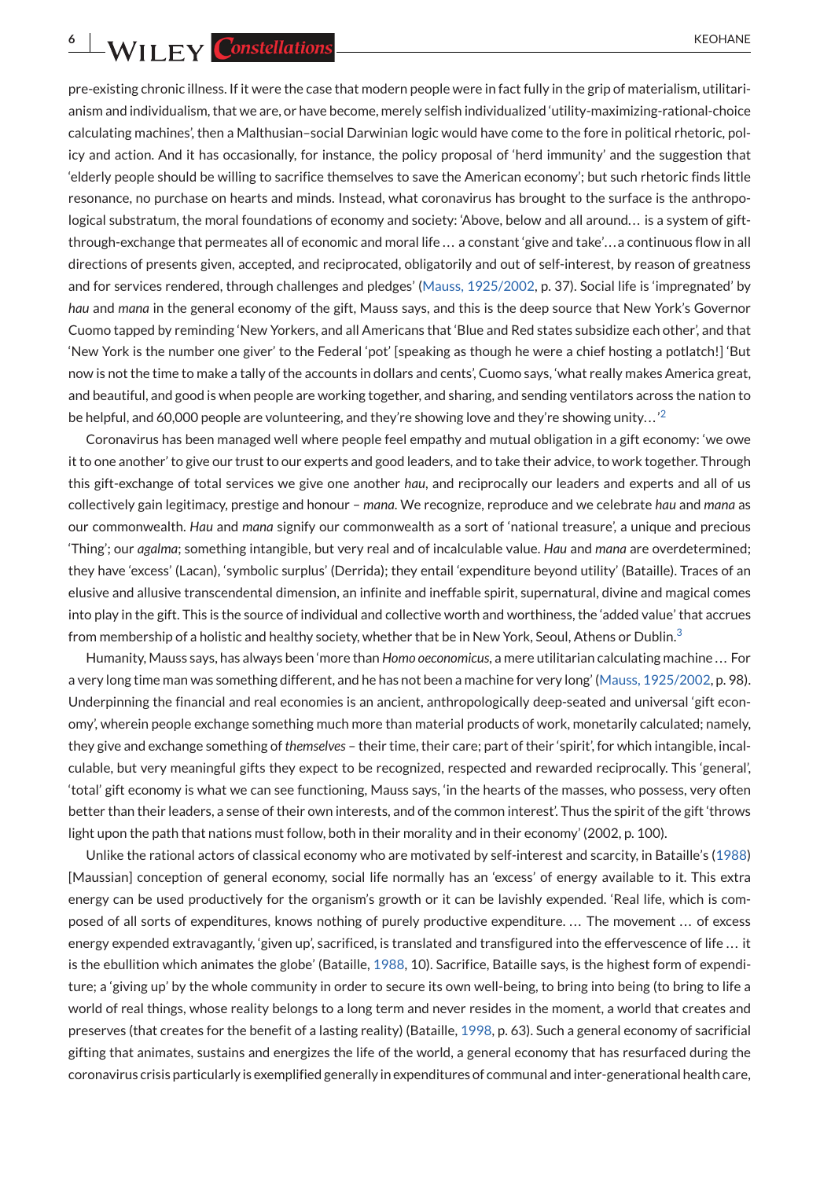**6 6** KEOHANE

pre-existing chronic illness. If it were the case that modern people were in fact fully in the grip of materialism, utilitarianism and individualism, that we are, or have become, merely selfish individualized 'utility-maximizing-rational-choice calculating machines', then a Malthusian–social Darwinian logic would have come to the fore in political rhetoric, policy and action. And it has occasionally, for instance, the policy proposal of 'herd immunity' and the suggestion that 'elderly people should be willing to sacrifice themselves to save the American economy'; but such rhetoric finds little resonance, no purchase on hearts and minds. Instead, what coronavirus has brought to the surface is the anthropological substratum, the moral foundations of economy and society: 'Above, below and all around... is a system of giftthrough-exchange that permeates all of economic and moral life . . . a constant 'give and take'. . . a continuous flow in all directions of presents given, accepted, and reciprocated, obligatorily and out of self-interest, by reason of greatness and for services rendered, through challenges and pledges' [\(Mauss, 1925/2002,](#page-13-0) p. 37). Social life is 'impregnated' by *hau* and *mana* in the general economy of the gift, Mauss says, and this is the deep source that New York's Governor Cuomo tapped by reminding 'New Yorkers, and all Americans that 'Blue and Red states subsidize each other', and that 'New York is the number one giver' to the Federal 'pot' [speaking as though he were a chief hosting a potlatch!] 'But now is not the time to make a tally of the accounts in dollars and cents', Cuomo says, 'what really makes America great, and beautiful, and good is when people are working together, and sharing, and sending ventilators across the nation to be helpful, and 60,000 people are volunteering, and they're showing love and they're showing unity...<sup>'2</sup>

Coronavirus has been managed well where people feel empathy and mutual obligation in a gift economy: 'we owe it to one another' to give our trust to our experts and good leaders, and to take their advice, to work together. Through this gift-exchange of total services we give one another *hau*, and reciprocally our leaders and experts and all of us collectively gain legitimacy, prestige and honour – *mana*. We recognize, reproduce and we celebrate *hau* and *mana* as our commonwealth. *Hau* and *mana* signify our commonwealth as a sort of 'national treasure', a unique and precious 'Thing'; our *agalma*; something intangible, but very real and of incalculable value. *Hau* and *mana* are overdetermined; they have 'excess' (Lacan), 'symbolic surplus' (Derrida); they entail 'expenditure beyond utility' (Bataille). Traces of an elusive and allusive transcendental dimension, an infinite and ineffable spirit, supernatural, divine and magical comes into play in the gift. This is the source of individual and collective worth and worthiness, the 'added value' that accrues from membership of a holistic and healthy society, whether that be in New York, Seoul, Athens or Dublin[.](#page-12-0)<sup>3</sup>

Humanity, Mauss says, has always been 'more than *Homo oeconomicus*, a mere utilitarian calculating machine . . . For a very long time man was something different, and he has not been a machine for very long' [\(Mauss, 1925/2002,](#page-13-0) p. 98). Underpinning the financial and real economies is an ancient, anthropologically deep-seated and universal 'gift economy', wherein people exchange something much more than material products of work, monetarily calculated; namely, they give and exchange something of *themselves* – their time, their care; part of their 'spirit', for which intangible, incalculable, but very meaningful gifts they expect to be recognized, respected and rewarded reciprocally. This 'general', 'total' gift economy is what we can see functioning, Mauss says, 'in the hearts of the masses, who possess, very often better than their leaders, a sense of their own interests, and of the common interest'. Thus the spirit of the gift 'throws light upon the path that nations must follow, both in their morality and in their economy' (2002, p. 100).

Unlike the rational actors of classical economy who are motivated by self-interest and scarcity, in Bataille's [\(1988\)](#page-12-0) [Maussian] conception of general economy, social life normally has an 'excess' of energy available to it. This extra energy can be used productively for the organism's growth or it can be lavishly expended. 'Real life, which is composed of all sorts of expenditures, knows nothing of purely productive expenditure. . . . The movement . . . of excess energy expended extravagantly, 'given up', sacrificed, is translated and transfigured into the effervescence of life . . . it is the ebullition which animates the globe' (Bataille, [1988,](#page-12-0) 10). Sacrifice, Bataille says, is the highest form of expenditure; a 'giving up' by the whole community in order to secure its own well-being, to bring into being (to bring to life a world of real things, whose reality belongs to a long term and never resides in the moment, a world that creates and preserves (that creates for the benefit of a lasting reality) (Bataille, [1998,](#page-12-0) p. 63). Such a general economy of sacrificial gifting that animates, sustains and energizes the life of the world, a general economy that has resurfaced during the coronavirus crisis particularly is exemplified generally in expenditures of communal and inter-generational health care,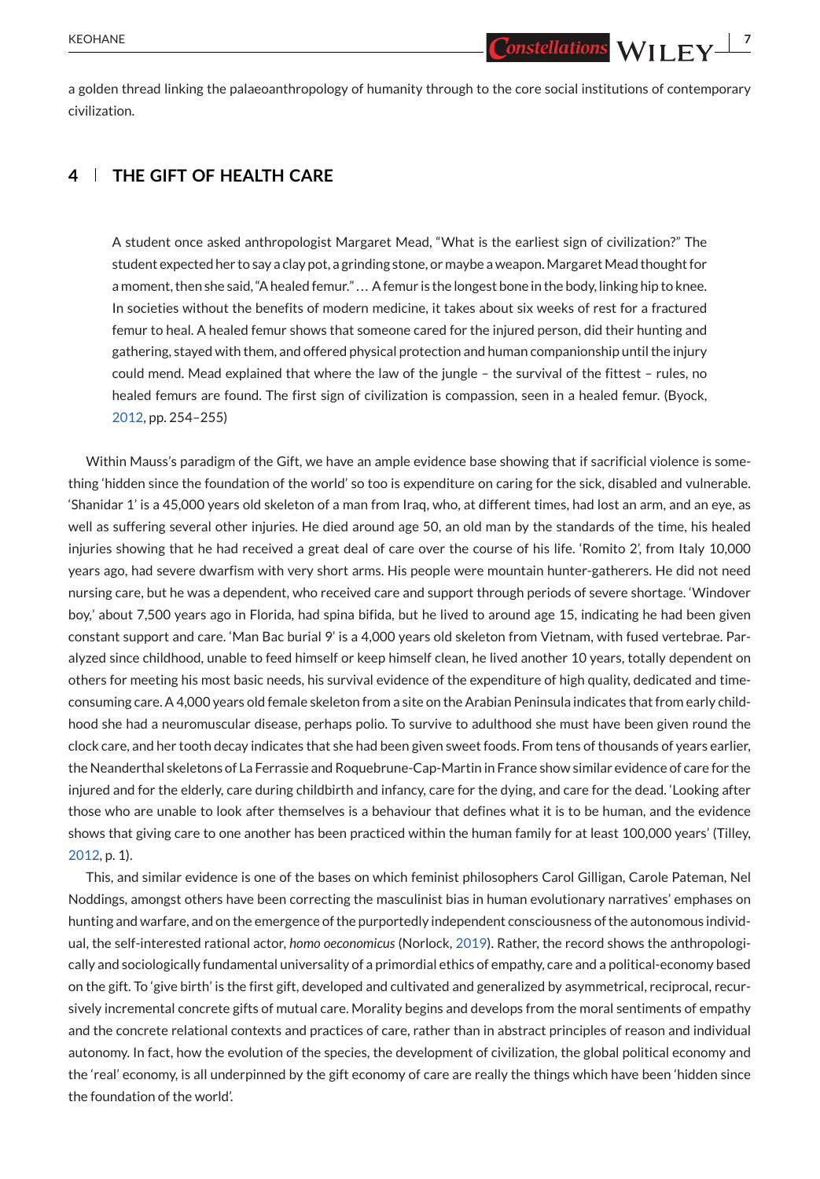a golden thread linking the palaeoanthropology of humanity through to the core social institutions of contemporary civilization.

# **4 THE GIFT OF HEALTH CARE**

A student once asked anthropologist Margaret Mead, "What is the earliest sign of civilization?" The student expected her to say a clay pot, a grinding stone, or maybe a weapon.MargaretMead thought for a moment, then she said, "A healed femur." . . . A femur is the longest bone in the body, linking hip to knee. In societies without the benefits of modern medicine, it takes about six weeks of rest for a fractured femur to heal. A healed femur shows that someone cared for the injured person, did their hunting and gathering, stayed with them, and offered physical protection and human companionship until the injury could mend. Mead explained that where the law of the jungle – the survival of the fittest – rules, no healed femurs are found. The first sign of civilization is compassion, seen in a healed femur. (Byock, [2012,](#page-12-0) pp. 254–255)

Within Mauss's paradigm of the Gift, we have an ample evidence base showing that if sacrificial violence is something 'hidden since the foundation of the world' so too is expenditure on caring for the sick, disabled and vulnerable. 'Shanidar 1' is a 45,000 years old skeleton of a man from Iraq, who, at different times, had lost an arm, and an eye, as well as suffering several other injuries. He died around age 50, an old man by the standards of the time, his healed injuries showing that he had received a great deal of care over the course of his life. 'Romito 2', from Italy 10,000 years ago, had severe dwarfism with very short arms. His people were mountain hunter-gatherers. He did not need nursing care, but he was a dependent, who received care and support through periods of severe shortage. 'Windover boy,' about 7,500 years ago in Florida, had spina bifida, but he lived to around age 15, indicating he had been given constant support and care. 'Man Bac burial 9' is a 4,000 years old skeleton from Vietnam, with fused vertebrae. Paralyzed since childhood, unable to feed himself or keep himself clean, he lived another 10 years, totally dependent on others for meeting his most basic needs, his survival evidence of the expenditure of high quality, dedicated and timeconsuming care. A 4,000 years old female skeleton from a site on the Arabian Peninsula indicates that from early childhood she had a neuromuscular disease, perhaps polio. To survive to adulthood she must have been given round the clock care, and her tooth decay indicates that she had been given sweet foods. From tens of thousands of years earlier, the Neanderthal skeletons of La Ferrassie and Roquebrune-Cap-Martin in France show similar evidence of care for the injured and for the elderly, care during childbirth and infancy, care for the dying, and care for the dead. 'Looking after those who are unable to look after themselves is a behaviour that defines what it is to be human, and the evidence shows that giving care to one another has been practiced within the human family for at least 100,000 years' (Tilley, [2012,](#page-13-0) p. 1).

This, and similar evidence is one of the bases on which feminist philosophers Carol Gilligan, Carole Pateman, Nel Noddings, amongst others have been correcting the masculinist bias in human evolutionary narratives' emphases on hunting and warfare, and on the emergence of the purportedly independent consciousness of the autonomous individual, the self-interested rational actor, *homo oeconomicus* (Norlock, [2019\)](#page-13-0). Rather, the record shows the anthropologically and sociologically fundamental universality of a primordial ethics of empathy, care and a political-economy based on the gift. To 'give birth' is the first gift, developed and cultivated and generalized by asymmetrical, reciprocal, recursively incremental concrete gifts of mutual care. Morality begins and develops from the moral sentiments of empathy and the concrete relational contexts and practices of care, rather than in abstract principles of reason and individual autonomy. In fact, how the evolution of the species, the development of civilization, the global political economy and the 'real' economy, is all underpinned by the gift economy of care are really the things which have been 'hidden since the foundation of the world'.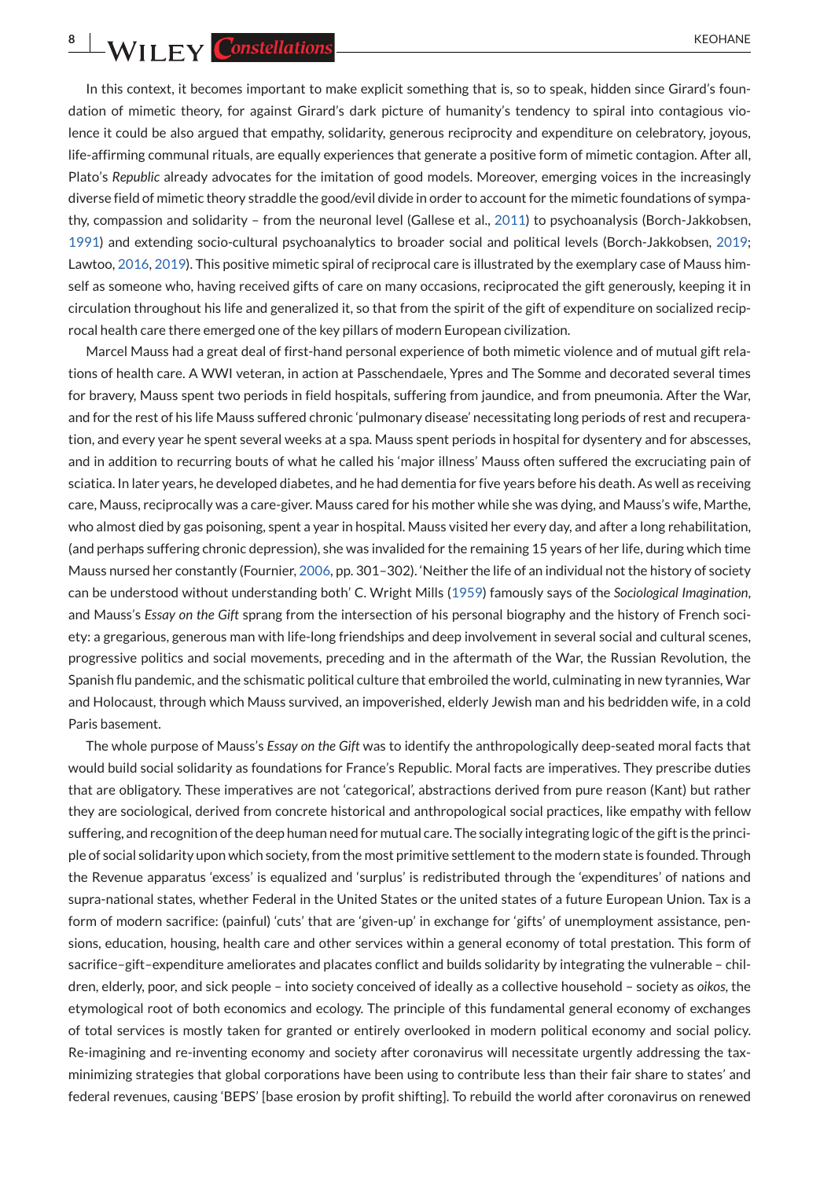**8** WILEY Constellations

In this context, it becomes important to make explicit something that is, so to speak, hidden since Girard's foundation of mimetic theory, for against Girard's dark picture of humanity's tendency to spiral into contagious violence it could be also argued that empathy, solidarity, generous reciprocity and expenditure on celebratory, joyous, life-affirming communal rituals, are equally experiences that generate a positive form of mimetic contagion. After all, Plato's *Republic* already advocates for the imitation of good models. Moreover, emerging voices in the increasingly diverse field of mimetic theory straddle the good/evil divide in order to account for the mimetic foundations of sympathy, compassion and solidarity – from the neuronal level (Gallese et al., [2011\)](#page-12-0) to psychoanalysis (Borch-Jakkobsen, [1991\)](#page-12-0) and extending socio-cultural psychoanalytics to broader social and political levels (Borch-Jakkobsen, [2019;](#page-12-0) Lawtoo, [2016,](#page-13-0) [2019\)](#page-13-0). This positive mimetic spiral of reciprocal care is illustrated by the exemplary case of Mauss himself as someone who, having received gifts of care on many occasions, reciprocated the gift generously, keeping it in circulation throughout his life and generalized it, so that from the spirit of the gift of expenditure on socialized reciprocal health care there emerged one of the key pillars of modern European civilization.

Marcel Mauss had a great deal of first-hand personal experience of both mimetic violence and of mutual gift relations of health care. A WWI veteran, in action at Passchendaele, Ypres and The Somme and decorated several times for bravery, Mauss spent two periods in field hospitals, suffering from jaundice, and from pneumonia. After the War, and for the rest of his life Mauss suffered chronic 'pulmonary disease' necessitating long periods of rest and recuperation, and every year he spent several weeks at a spa. Mauss spent periods in hospital for dysentery and for abscesses, and in addition to recurring bouts of what he called his 'major illness' Mauss often suffered the excruciating pain of sciatica. In later years, he developed diabetes, and he had dementia for five years before his death. As well as receiving care, Mauss, reciprocally was a care-giver. Mauss cared for his mother while she was dying, and Mauss's wife, Marthe, who almost died by gas poisoning, spent a year in hospital. Mauss visited her every day, and after a long rehabilitation, (and perhaps suffering chronic depression), she was invalided for the remaining 15 years of her life, during which time Mauss nursed her constantly (Fournier, [2006,](#page-12-0) pp. 301–302). 'Neither the life of an individual not the history of society can be understood without understanding both' C. Wright Mills [\(1959\)](#page-13-0) famously says of the *Sociological Imagination*, and Mauss's *Essay on the Gift* sprang from the intersection of his personal biography and the history of French society: a gregarious, generous man with life-long friendships and deep involvement in several social and cultural scenes, progressive politics and social movements, preceding and in the aftermath of the War, the Russian Revolution, the Spanish flu pandemic, and the schismatic political culture that embroiled the world, culminating in new tyrannies, War and Holocaust, through which Mauss survived, an impoverished, elderly Jewish man and his bedridden wife, in a cold Paris basement.

The whole purpose of Mauss's *Essay on the Gift* was to identify the anthropologically deep-seated moral facts that would build social solidarity as foundations for France's Republic. Moral facts are imperatives. They prescribe duties that are obligatory. These imperatives are not 'categorical', abstractions derived from pure reason (Kant) but rather they are sociological, derived from concrete historical and anthropological social practices, like empathy with fellow suffering, and recognition of the deep human need for mutual care. The socially integrating logic of the gift is the principle of social solidarity upon which society, from the most primitive settlement to the modern state is founded. Through the Revenue apparatus 'excess' is equalized and 'surplus' is redistributed through the 'expenditures' of nations and supra-national states, whether Federal in the United States or the united states of a future European Union. Tax is a form of modern sacrifice: (painful) 'cuts' that are 'given-up' in exchange for 'gifts' of unemployment assistance, pensions, education, housing, health care and other services within a general economy of total prestation. This form of sacrifice–gift–expenditure ameliorates and placates conflict and builds solidarity by integrating the vulnerable – children, elderly, poor, and sick people – into society conceived of ideally as a collective household – society as *oikos*, the etymological root of both economics and ecology. The principle of this fundamental general economy of exchanges of total services is mostly taken for granted or entirely overlooked in modern political economy and social policy. Re-imagining and re-inventing economy and society after coronavirus will necessitate urgently addressing the taxminimizing strategies that global corporations have been using to contribute less than their fair share to states' and federal revenues, causing 'BEPS' [base erosion by profit shifting]. To rebuild the world after coronavirus on renewed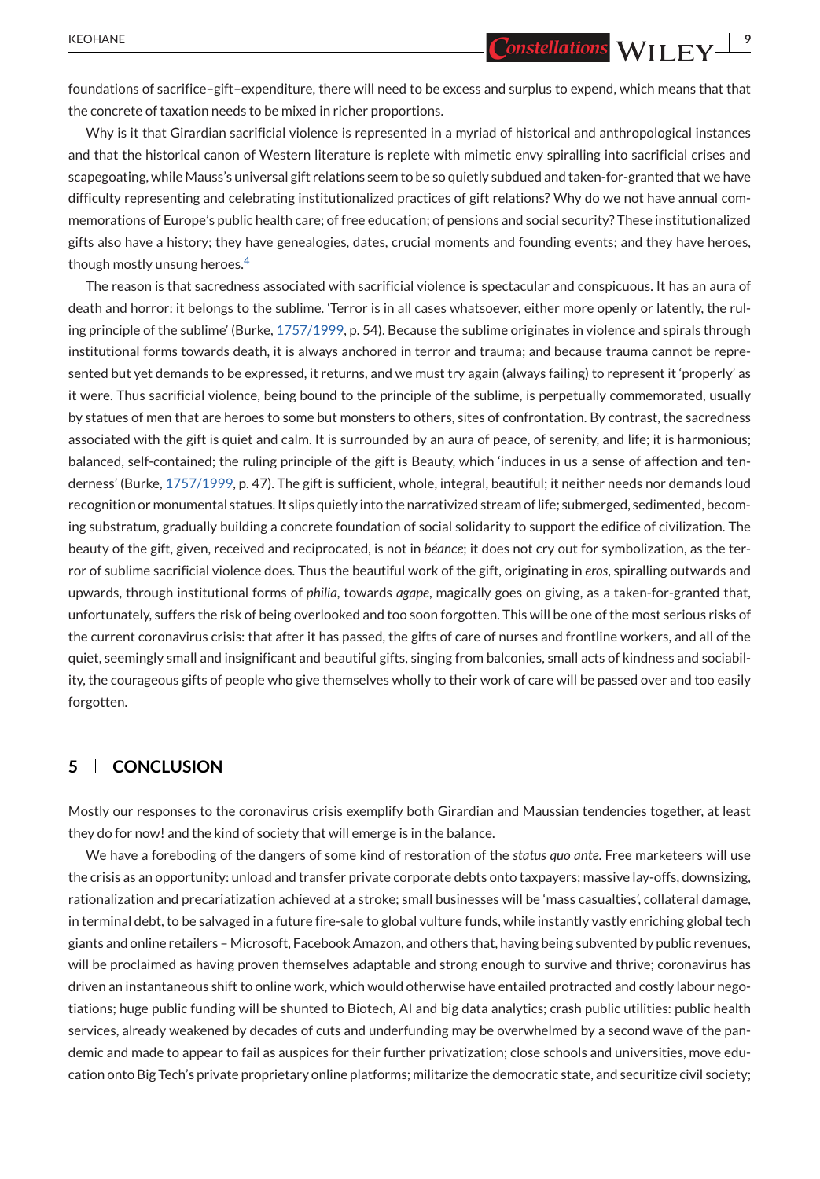KEOHANE **CONSTRUCTER CONSTRUCTER 9** 

foundations of sacrifice–gift–expenditure, there will need to be excess and surplus to expend, which means that that the concrete of taxation needs to be mixed in richer proportions.

Why is it that Girardian sacrificial violence is represented in a myriad of historical and anthropological instances and that the historical canon of Western literature is replete with mimetic envy spiralling into sacrificial crises and scapegoating, while Mauss's universal gift relations seem to be so quietly subdued and taken-for-granted that we have difficulty representing and celebrating institutionalized practices of gift relations? Why do we not have annual commemorations of Europe's public health care; of free education; of pensions and social security? These institutionalized gifts also have a history; they have genealogies, dates, crucial moments and founding events; and they have heroes, though mostly unsung heroes[.](#page-12-0)<sup>4</sup>

The reason is that sacredness associated with sacrificial violence is spectacular and conspicuous. It has an aura of death and horror: it belongs to the sublime. 'Terror is in all cases whatsoever, either more openly or latently, the ruling principle of the sublime' (Burke, [1757/1999,](#page-12-0) p. 54). Because the sublime originates in violence and spirals through institutional forms towards death, it is always anchored in terror and trauma; and because trauma cannot be represented but yet demands to be expressed, it returns, and we must try again (always failing) to represent it 'properly' as it were. Thus sacrificial violence, being bound to the principle of the sublime, is perpetually commemorated, usually by statues of men that are heroes to some but monsters to others, sites of confrontation. By contrast, the sacredness associated with the gift is quiet and calm. It is surrounded by an aura of peace, of serenity, and life; it is harmonious; balanced, self-contained; the ruling principle of the gift is Beauty, which 'induces in us a sense of affection and tenderness' (Burke, [1757/1999,](#page-12-0) p. 47). The gift is sufficient, whole, integral, beautiful; it neither needs nor demands loud recognition or monumental statues. It slips quietly into the narrativized stream of life; submerged, sedimented, becoming substratum, gradually building a concrete foundation of social solidarity to support the edifice of civilization. The beauty of the gift, given, received and reciprocated, is not in *béance*; it does not cry out for symbolization, as the terror of sublime sacrificial violence does. Thus the beautiful work of the gift, originating in *eros*, spiralling outwards and upwards, through institutional forms of *philia*, towards *agape*, magically goes on giving, as a taken-for-granted that, unfortunately, suffers the risk of being overlooked and too soon forgotten. This will be one of the most serious risks of the current coronavirus crisis: that after it has passed, the gifts of care of nurses and frontline workers, and all of the quiet, seemingly small and insignificant and beautiful gifts, singing from balconies, small acts of kindness and sociability, the courageous gifts of people who give themselves wholly to their work of care will be passed over and too easily forgotten.

## **5 CONCLUSION**

Mostly our responses to the coronavirus crisis exemplify both Girardian and Maussian tendencies together, at least they do for now! and the kind of society that will emerge is in the balance.

We have a foreboding of the dangers of some kind of restoration of the *status quo ante*. Free marketeers will use the crisis as an opportunity: unload and transfer private corporate debts onto taxpayers; massive lay-offs, downsizing, rationalization and precariatization achieved at a stroke; small businesses will be 'mass casualties', collateral damage, in terminal debt, to be salvaged in a future fire-sale to global vulture funds, while instantly vastly enriching global tech giants and online retailers – Microsoft, Facebook Amazon, and others that, having being subvented by public revenues, will be proclaimed as having proven themselves adaptable and strong enough to survive and thrive; coronavirus has driven an instantaneous shift to online work, which would otherwise have entailed protracted and costly labour negotiations; huge public funding will be shunted to Biotech, AI and big data analytics; crash public utilities: public health services, already weakened by decades of cuts and underfunding may be overwhelmed by a second wave of the pandemic and made to appear to fail as auspices for their further privatization; close schools and universities, move education onto Big Tech's private proprietary online platforms; militarize the democratic state, and securitize civil society;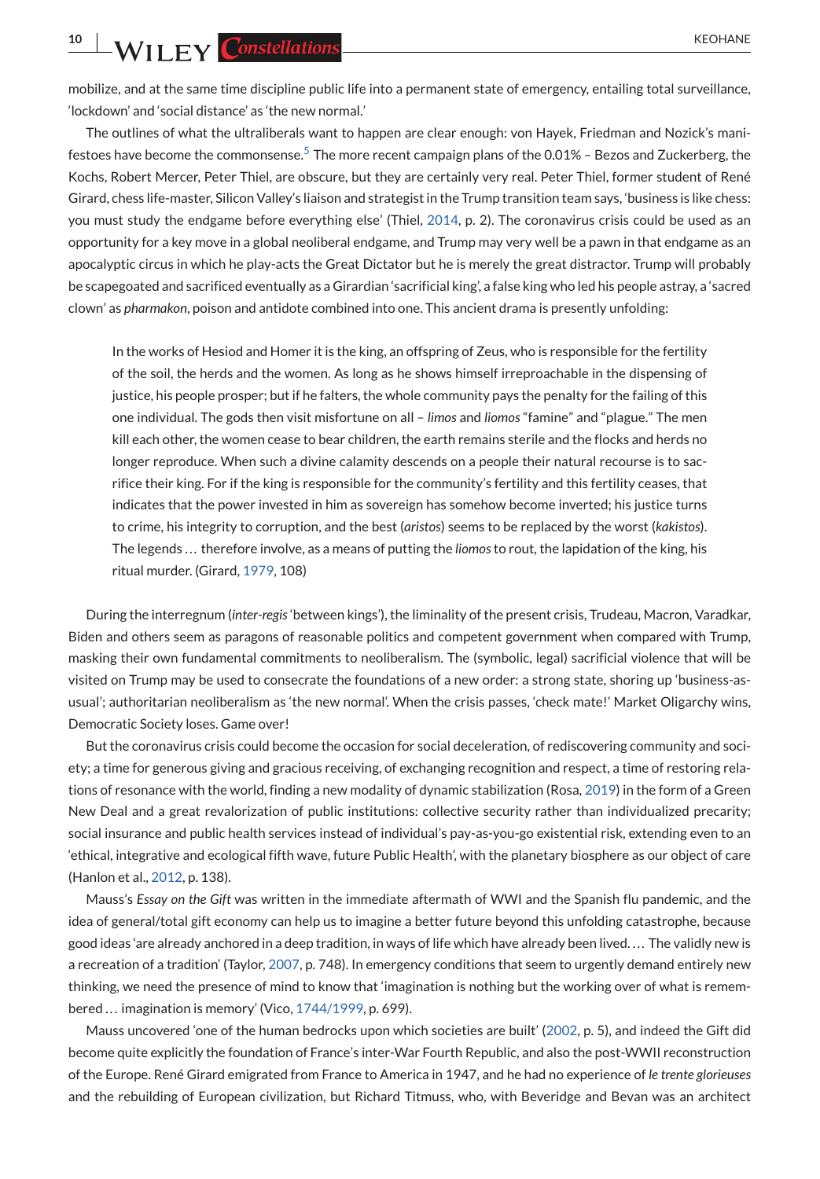**10 WILEY Constellations** KEOHANE

mobilize, and at the same time discipline public life into a permanent state of emergency, entailing total surveillance, 'lockdown' and 'social distance' as 'the new normal.'

The outlines of what the ultraliberals want to happen are clear enough: von Hayek, Friedman and Nozick's mani-festoes have become the commonsense[.](#page-12-0)<sup>5</sup> The more recent campaign plans of the 0.01% – Bezos and Zuckerberg, the Kochs, Robert Mercer, Peter Thiel, are obscure, but they are certainly very real. Peter Thiel, former student of René Girard, chess life-master, Silicon Valley's liaison and strategist in the Trump transition team says, 'business is like chess: you must study the endgame before everything else' (Thiel, [2014,](#page-13-0) p. 2). The coronavirus crisis could be used as an opportunity for a key move in a global neoliberal endgame, and Trump may very well be a pawn in that endgame as an apocalyptic circus in which he play-acts the Great Dictator but he is merely the great distractor. Trump will probably be scapegoated and sacrificed eventually as a Girardian 'sacrificial king', a false king who led his people astray, a 'sacred clown' as *pharmakon*, poison and antidote combined into one. This ancient drama is presently unfolding:

In the works of Hesiod and Homer it is the king, an offspring of Zeus, who is responsible for the fertility of the soil, the herds and the women. As long as he shows himself irreproachable in the dispensing of justice, his people prosper; but if he falters, the whole community pays the penalty for the failing of this one individual. The gods then visit misfortune on all – *limos* and *liomos* "famine" and "plague." The men kill each other, the women cease to bear children, the earth remains sterile and the flocks and herds no longer reproduce. When such a divine calamity descends on a people their natural recourse is to sacrifice their king. For if the king is responsible for the community's fertility and this fertility ceases, that indicates that the power invested in him as sovereign has somehow become inverted; his justice turns to crime, his integrity to corruption, and the best (*aristos*) seems to be replaced by the worst (*kakistos*). The legends . . . therefore involve, as a means of putting the *liomos*to rout, the lapidation of the king, his ritual murder. (Girard, [1979,](#page-12-0) 108)

During the interregnum (*inter-regis*'between kings'), the liminality of the present crisis, Trudeau, Macron, Varadkar, Biden and others seem as paragons of reasonable politics and competent government when compared with Trump, masking their own fundamental commitments to neoliberalism. The (symbolic, legal) sacrificial violence that will be visited on Trump may be used to consecrate the foundations of a new order: a strong state, shoring up 'business-asusual'; authoritarian neoliberalism as 'the new normal'. When the crisis passes, 'check mate!' Market Oligarchy wins, Democratic Society loses. Game over!

But the coronavirus crisis could become the occasion for social deceleration, of rediscovering community and society; a time for generous giving and gracious receiving, of exchanging recognition and respect, a time of restoring relations of resonance with the world, finding a new modality of dynamic stabilization (Rosa, [2019\)](#page-13-0) in the form of a Green New Deal and a great revalorization of public institutions: collective security rather than individualized precarity; social insurance and public health services instead of individual's pay-as-you-go existential risk, extending even to an 'ethical, integrative and ecological fifth wave, future Public Health', with the planetary biosphere as our object of care (Hanlon et al., [2012,](#page-12-0) p. 138).

Mauss's *Essay on the Gift* was written in the immediate aftermath of WWI and the Spanish flu pandemic, and the idea of general/total gift economy can help us to imagine a better future beyond this unfolding catastrophe, because good ideas 'are already anchored in a deep tradition, in ways of life which have already been lived.... The validly new is a recreation of a tradition' (Taylor, [2007,](#page-13-0) p. 748). In emergency conditions that seem to urgently demand entirely new thinking, we need the presence of mind to know that 'imagination is nothing but the working over of what is remem-bered ... imagination is memory' (Vico, [1744/1999,](#page-13-0) p. 699).

Mauss uncovered 'one of the human bedrocks upon which societies are built' [\(2002,](#page-13-0) p. 5), and indeed the Gift did become quite explicitly the foundation of France's inter-War Fourth Republic, and also the post-WWII reconstruction of the Europe. René Girard emigrated from France to America in 1947, and he had no experience of *le trente glorieuses* and the rebuilding of European civilization, but Richard Titmuss, who, with Beveridge and Bevan was an architect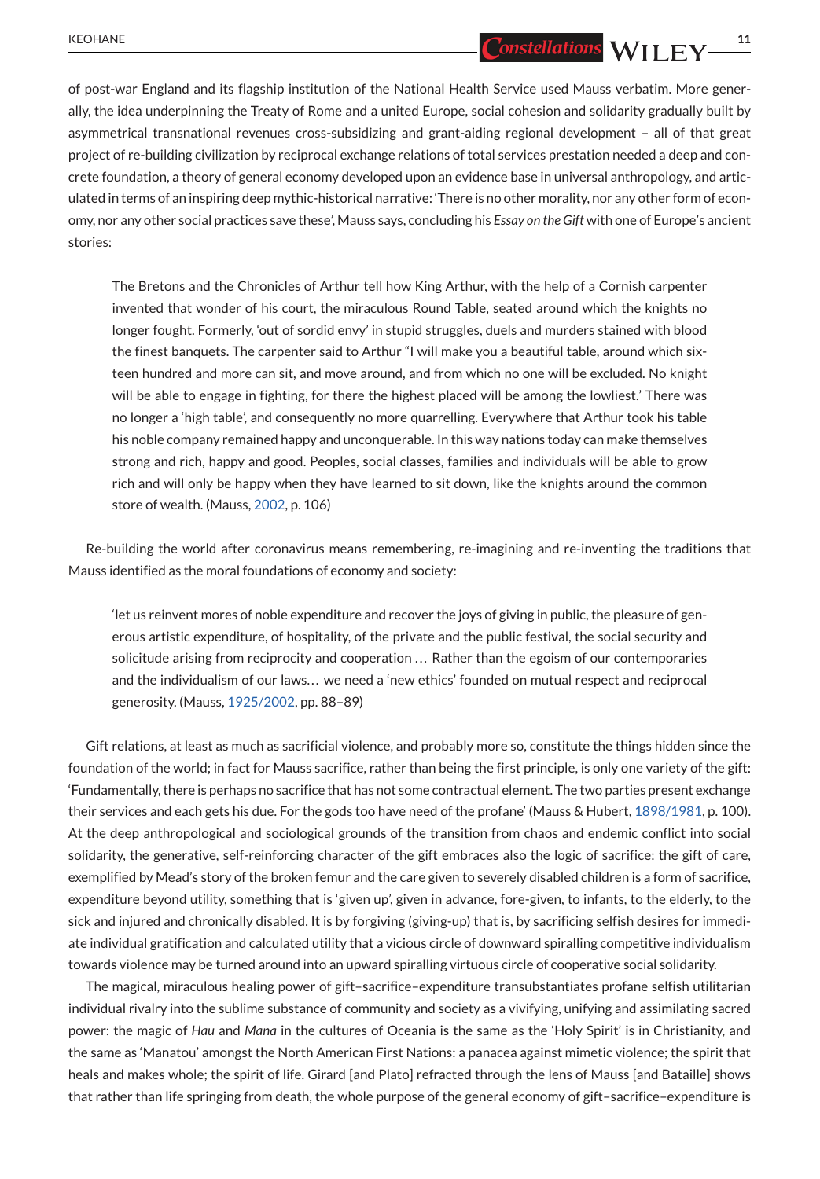of post-war England and its flagship institution of the National Health Service used Mauss verbatim. More generally, the idea underpinning the Treaty of Rome and a united Europe, social cohesion and solidarity gradually built by asymmetrical transnational revenues cross-subsidizing and grant-aiding regional development – all of that great project of re-building civilization by reciprocal exchange relations of total services prestation needed a deep and concrete foundation, a theory of general economy developed upon an evidence base in universal anthropology, and articulated in terms of an inspiring deep mythic-historical narrative: 'There is no other morality, nor any other form of economy, nor any other social practices save these', Mauss says, concluding his *Essay on the Gift* with one of Europe's ancient stories:

The Bretons and the Chronicles of Arthur tell how King Arthur, with the help of a Cornish carpenter invented that wonder of his court, the miraculous Round Table, seated around which the knights no longer fought. Formerly, 'out of sordid envy' in stupid struggles, duels and murders stained with blood the finest banquets. The carpenter said to Arthur "I will make you a beautiful table, around which sixteen hundred and more can sit, and move around, and from which no one will be excluded. No knight will be able to engage in fighting, for there the highest placed will be among the lowliest.' There was no longer a 'high table', and consequently no more quarrelling. Everywhere that Arthur took his table his noble company remained happy and unconquerable. In this way nations today can make themselves strong and rich, happy and good. Peoples, social classes, families and individuals will be able to grow rich and will only be happy when they have learned to sit down, like the knights around the common store of wealth. (Mauss, [2002,](#page-13-0) p. 106)

Re-building the world after coronavirus means remembering, re-imagining and re-inventing the traditions that Mauss identified as the moral foundations of economy and society:

'let us reinvent mores of noble expenditure and recover the joys of giving in public, the pleasure of generous artistic expenditure, of hospitality, of the private and the public festival, the social security and solicitude arising from reciprocity and cooperation ... Rather than the egoism of our contemporaries and the individualism of our laws... we need a 'new ethics' founded on mutual respect and reciprocal generosity. (Mauss, [1925/2002,](#page-13-0) pp. 88–89)

Gift relations, at least as much as sacrificial violence, and probably more so, constitute the things hidden since the foundation of the world; in fact for Mauss sacrifice, rather than being the first principle, is only one variety of the gift: 'Fundamentally, there is perhaps no sacrifice that has not some contractual element. The two parties present exchange their services and each gets his due. For the gods too have need of the profane' (Mauss & Hubert, [1898/1981,](#page-13-0) p. 100). At the deep anthropological and sociological grounds of the transition from chaos and endemic conflict into social solidarity, the generative, self-reinforcing character of the gift embraces also the logic of sacrifice: the gift of care, exemplified by Mead's story of the broken femur and the care given to severely disabled children is a form of sacrifice, expenditure beyond utility, something that is 'given up', given in advance, fore-given, to infants, to the elderly, to the sick and injured and chronically disabled. It is by forgiving (giving-up) that is, by sacrificing selfish desires for immediate individual gratification and calculated utility that a vicious circle of downward spiralling competitive individualism towards violence may be turned around into an upward spiralling virtuous circle of cooperative social solidarity.

The magical, miraculous healing power of gift–sacrifice–expenditure transubstantiates profane selfish utilitarian individual rivalry into the sublime substance of community and society as a vivifying, unifying and assimilating sacred power: the magic of *Hau* and *Mana* in the cultures of Oceania is the same as the 'Holy Spirit' is in Christianity, and the same as 'Manatou' amongst the North American First Nations: a panacea against mimetic violence; the spirit that heals and makes whole; the spirit of life. Girard [and Plato] refracted through the lens of Mauss [and Bataille] shows that rather than life springing from death, the whole purpose of the general economy of gift–sacrifice–expenditure is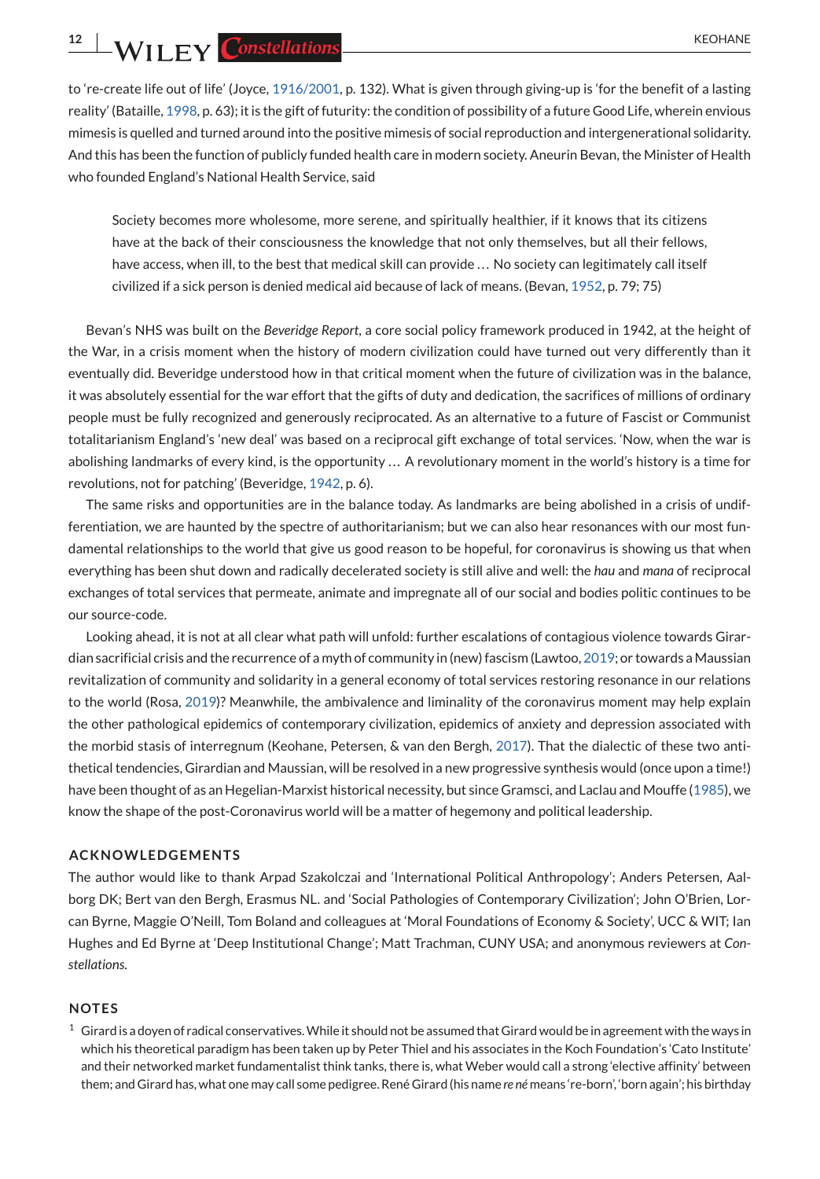<span id="page-11-0"></span>**12 WII FY** Constellations **CONSTRUCTER CONSTRUCTER CONSTRUCTER CONSTRUCTER CONSTRUCTER** 

to 're-create life out of life' (Joyce, [1916/2001,](#page-13-0) p. 132). What is given through giving-up is 'for the benefit of a lasting reality' (Bataille, [1998,](#page-12-0) p. 63); it is the gift of futurity: the condition of possibility of a future Good Life, wherein envious mimesis is quelled and turned around into the positive mimesis of social reproduction and intergenerational solidarity. And this has been the function of publicly funded health care in modern society. Aneurin Bevan, the Minister of Health who founded England's National Health Service, said

Society becomes more wholesome, more serene, and spiritually healthier, if it knows that its citizens have at the back of their consciousness the knowledge that not only themselves, but all their fellows, have access, when ill, to the best that medical skill can provide ... No society can legitimately call itself civilized if a sick person is denied medical aid because of lack of means. (Bevan, [1952,](#page-12-0) p. 79; 75)

Bevan's NHS was built on the *Beveridge Report*, a core social policy framework produced in 1942, at the height of the War, in a crisis moment when the history of modern civilization could have turned out very differently than it eventually did. Beveridge understood how in that critical moment when the future of civilization was in the balance, it was absolutely essential for the war effort that the gifts of duty and dedication, the sacrifices of millions of ordinary people must be fully recognized and generously reciprocated. As an alternative to a future of Fascist or Communist totalitarianism England's 'new deal' was based on a reciprocal gift exchange of total services. 'Now, when the war is abolishing landmarks of every kind, is the opportunity ... A revolutionary moment in the world's history is a time for revolutions, not for patching' (Beveridge, [1942,](#page-12-0) p. 6).

The same risks and opportunities are in the balance today. As landmarks are being abolished in a crisis of undifferentiation, we are haunted by the spectre of authoritarianism; but we can also hear resonances with our most fundamental relationships to the world that give us good reason to be hopeful, for coronavirus is showing us that when everything has been shut down and radically decelerated society is still alive and well: the *hau* and *mana* of reciprocal exchanges of total services that permeate, animate and impregnate all of our social and bodies politic continues to be our source-code.

Looking ahead, it is not at all clear what path will unfold: further escalations of contagious violence towards Girardian sacrificial crisis and the recurrence of a myth of community in (new) fascism (Lawtoo, [2019;](#page-13-0) or towards a Maussian revitalization of community and solidarity in a general economy of total services restoring resonance in our relations to the world (Rosa, [2019\)](#page-13-0)? Meanwhile, the ambivalence and liminality of the coronavirus moment may help explain the other pathological epidemics of contemporary civilization, epidemics of anxiety and depression associated with the morbid stasis of interregnum (Keohane, Petersen, & van den Bergh, [2017\)](#page-13-0). That the dialectic of these two antithetical tendencies, Girardian and Maussian, will be resolved in a new progressive synthesis would (once upon a time!) have been thought of as an Hegelian-Marxist historical necessity, but since Gramsci, and Laclau and Mouffe [\(1985\)](#page-13-0), we know the shape of the post-Coronavirus world will be a matter of hegemony and political leadership.

#### **ACKNOWLEDGEMENTS**

The author would like to thank Arpad Szakolczai and 'International Political Anthropology'; Anders Petersen, Aalborg DK; Bert van den Bergh, Erasmus NL. and 'Social Pathologies of Contemporary Civilization'; John O'Brien, Lorcan Byrne, Maggie O'Neill, Tom Boland and colleagues at 'Moral Foundations of Economy & Society', UCC & WIT; Ian Hughes and Ed Byrne at 'Deep Institutional Change'; Matt Trachman, CUNY USA; and anonymous reviewers at *Constellations*.

#### **NOTES**

 $1$  Girard is a doyen of radical conservatives. While it should not be assumed that Girard would be in agreement with the ways in which his theoretical paradigm has been taken up by Peter Thiel and his associates in the Koch Foundation's 'Cato Institute' and their networked market fundamentalist think tanks, there is, what Weber would call a strong 'elective affinity' between them; and Girard has, what one may call some pedigree. René Girard (his name *re né* means 're-born', 'born again'; his birthday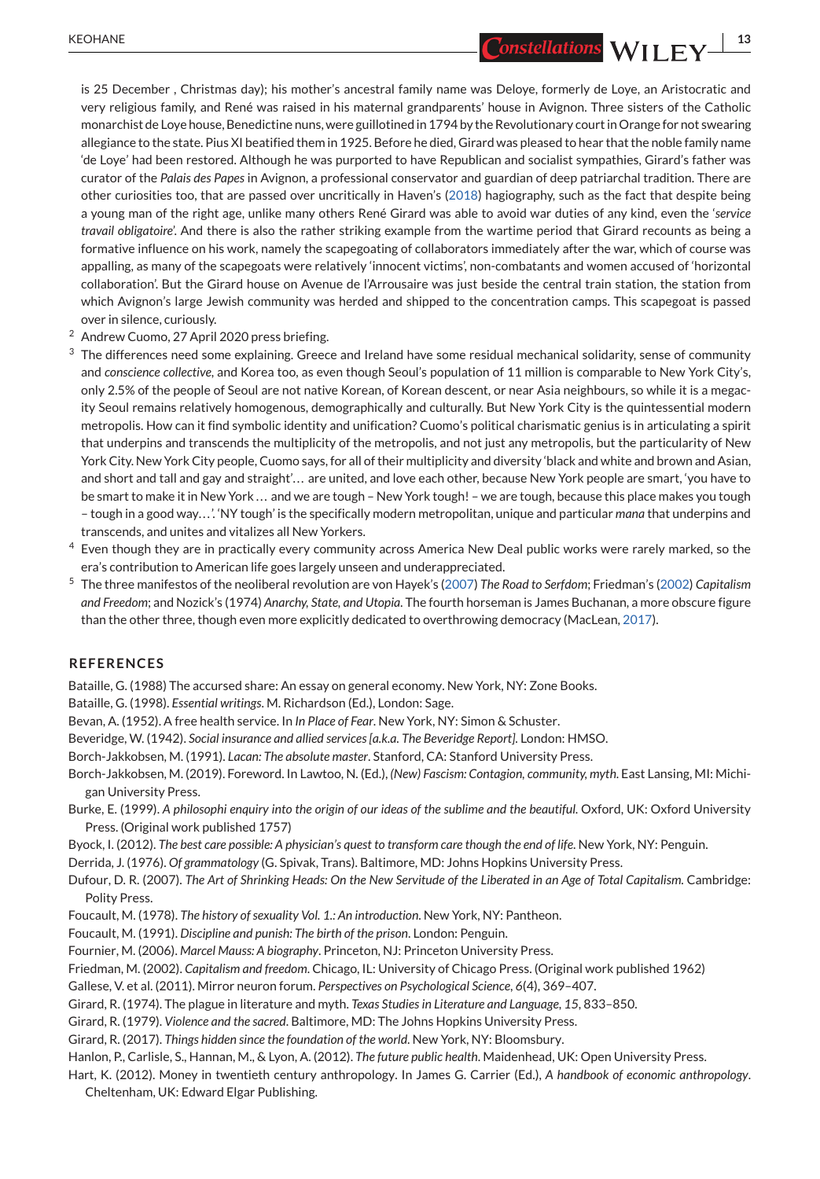<span id="page-12-0"></span>KEOHANE **13**<br> **13** Constellations WII FY<sup>13</sup>

is 25 December , Christmas day); his mother's ancestral family name was Deloye, formerly de Loye, an Aristocratic and very religious family, and René was raised in his maternal grandparents' house in Avignon. Three sisters of the Catholic monarchist de Loye house, Benedictine nuns, were guillotined in 1794 by the Revolutionary court in Orange for not swearing allegiance to the state. Pius XI beatified them in 1925. Before he died, Girard was pleased to hear that the noble family name 'de Loye' had been restored. Although he was purported to have Republican and socialist sympathies, Girard's father was curator of the *Palais des Papes* in Avignon, a professional conservator and guardian of deep patriarchal tradition. There are other curiosities too, that are passed over uncritically in Haven's [\(2018\)](#page-13-0) hagiography, such as the fact that despite being a young man of the right age, unlike many others René Girard was able to avoid war duties of any kind, even the '*service travail obligatoire*'. And there is also the rather striking example from the wartime period that Girard recounts as being a formative influence on his work, namely the scapegoating of collaborators immediately after the war, which of course was appalling, as many of the scapegoats were relatively 'innocent victims', non-combatants and women accused of 'horizontal collaboration'. But the Girard house on Avenue de l'Arrousaire was just beside the central train station, the station from which Avignon's large Jewish community was herded and shipped to the concentration camps. This scapegoat is passed over in silence, curiously.

- <sup>2</sup> Andrew Cuomo, 27 April 2020 press briefing.
- $3$  The differences need some explaining. Greece and Ireland have some residual mechanical solidarity, sense of community and *conscience collective*, and Korea too, as even though Seoul's population of 11 million is comparable to New York City's, only 2.5% of the people of Seoul are not native Korean, of Korean descent, or near Asia neighbours, so while it is a megacity Seoul remains relatively homogenous, demographically and culturally. But New York City is the quintessential modern metropolis. How can it find symbolic identity and unification? Cuomo's political charismatic genius is in articulating a spirit that underpins and transcends the multiplicity of the metropolis, and not just any metropolis, but the particularity of New York City. New York City people, Cuomo says, for all of their multiplicity and diversity 'black and white and brown and Asian, and short and tall and gay and straight'. . . are united, and love each other, because New York people are smart, 'you have to be smart to make it in New York ... and we are tough - New York tough! - we are tough, because this place makes you tough – tough in a good way. . . '. 'NY tough' is the specifically modern metropolitan, unique and particular *mana* that underpins and transcends, and unites and vitalizes all New Yorkers.
- <sup>4</sup> Even though they are in practically every community across America New Deal public works were rarely marked, so the era's contribution to American life goes largely unseen and underappreciated.
- <sup>5</sup> The three manifestos of the neoliberal revolution are von Hayek's [\(2007\)](#page-13-0) *The Road to Serfdom*; Friedman's (2002) *Capitalism and Freedom*; and Nozick's (1974) *Anarchy, State, and Utopia*. The fourth horseman is James Buchanan, a more obscure figure than the other three, though even more explicitly dedicated to overthrowing democracy (MacLean, [2017\)](#page-13-0).

#### **REFERENCES**

Bataille, G. (1988) The accursed share: An essay on general economy. New York, NY: Zone Books.

Bataille, G. (1998). *Essential writings*. M. Richardson (Ed.), London: Sage.

Bevan, A. (1952). A free health service. In *In Place of Fear*. New York, NY: Simon & Schuster.

Beveridge, W. (1942). *Social insurance and allied services [a.k.a. The Beveridge Report]*. London: HMSO.

Borch-Jakkobsen, M. (1991). *Lacan: The absolute master*. Stanford, CA: Stanford University Press.

- Borch-Jakkobsen, M. (2019). Foreword. In Lawtoo, N. (Ed.), *(New) Fascism: Contagion, community, myth*. East Lansing, MI: Michigan University Press.
- Burke, E. (1999). *A philosophi enquiry into the origin of our ideas of the sublime and the beautiful*. Oxford, UK: Oxford University Press. (Original work published 1757)
- Byock, I. (2012). *The best care possible: A physician's quest to transform care though the end of life*. New York, NY: Penguin.

Derrida, J. (1976). *Of grammatology* (G. Spivak, Trans). Baltimore, MD: Johns Hopkins University Press.

Dufour, D. R. (2007). *The Art of Shrinking Heads: On the New Servitude of the Liberated in an Age of Total Capitalism*. Cambridge: Polity Press.

- Foucault, M. (1978). *The history of sexuality Vol. 1.: An introduction*. New York, NY: Pantheon.
- Foucault, M. (1991). *Discipline and punish: The birth of the prison*. London: Penguin.
- Fournier, M. (2006). *Marcel Mauss: A biography*. Princeton, NJ: Princeton University Press.
- Friedman, M. (2002). *Capitalism and freedom*. Chicago, IL: University of Chicago Press. (Original work published 1962)
- Gallese, V. et al. (2011). Mirror neuron forum. *Perspectives on Psychological Science*, *6*(4), 369–407.
- Girard, R. (1974). The plague in literature and myth. *Texas Studies in Literature and Language*, *15*, 833–850.
- Girard, R. (1979). *Violence and the sacred*. Baltimore, MD: The Johns Hopkins University Press.
- Girard, R. (2017). *Things hidden since the foundation of the world*. New York, NY: Bloomsbury.
- Hanlon, P., Carlisle, S., Hannan, M., & Lyon, A. (2012). *The future public health*. Maidenhead, UK: Open University Press.
- Hart, K. (2012). Money in twentieth century anthropology. In James G. Carrier (Ed.), *A handbook of economic anthropology*. Cheltenham, UK: Edward Elgar Publishing.